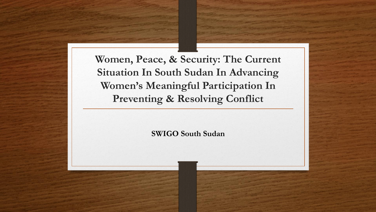**Women, Peace, & Security: The Current Situation In South Sudan In Advancing Women's Meaningful Participation In Preventing & Resolving Conflict**

**SWIGO South Sudan**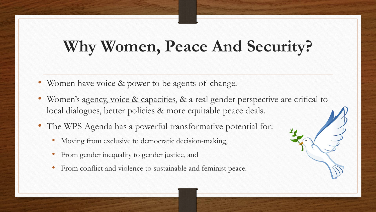# **Why Women, Peace And Security?**

- Women have voice & power to be agents of change.
- Women's agency, voice & capacities, & a real gender perspective are critical to local dialogues, better policies & more equitable peace deals.
- The WPS Agenda has a powerful transformative potential for:
	- Moving from exclusive to democratic decision-making,
	- From gender inequality to gender justice, and
	- From conflict and violence to sustainable and feminist peace.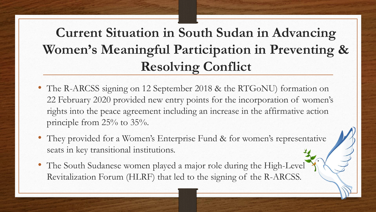#### **Current Situation in South Sudan in Advancing Women's Meaningful Participation in Preventing & Resolving Conflict**

- The R-ARCSS signing on 12 September 2018 & the RTGoNU) formation on 22 February 2020 provided new entry points for the incorporation of women's rights into the peace agreement including an increase in the affirmative action principle from 25% to 35%.
- They provided for a Women's Enterprise Fund & for women's representative seats in key transitional institutions.
- The South Sudanese women played a major role during the High-Level Revitalization Forum (HLRF) that led to the signing of the R-ARCSS.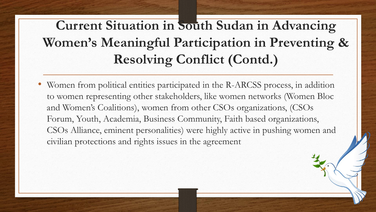# **Current Situation in South Sudan in Advancing Women's Meaningful Participation in Preventing & Resolving Conflict (Contd.)**

• Women from political entities participated in the R-ARCSS process, in addition to women representing other stakeholders, like women networks (Women Bloc and Women's Coalitions), women from other CSOs organizations, (CSOs Forum, Youth, Academia, Business Community, Faith based organizations, CSOs Alliance, eminent personalities) were highly active in pushing women and civilian protections and rights issues in the agreement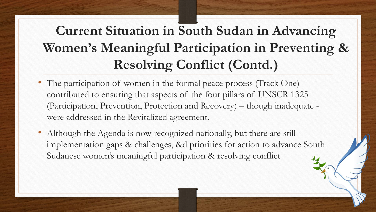### **Current Situation in South Sudan in Advancing Women's Meaningful Participation in Preventing & Resolving Conflict (Contd.)**

- The participation of women in the formal peace process (Track One) contributed to ensuring that aspects of the four pillars of UNSCR 1325 (Participation, Prevention, Protection and Recovery) – though inadequate were addressed in the Revitalized agreement.
- Although the Agenda is now recognized nationally, but there are still implementation gaps & challenges, &d priorities for action to advance South Sudanese women's meaningful participation & resolving conflict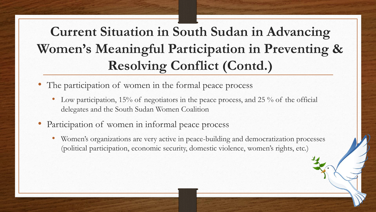## **Current Situation in South Sudan in Advancing Women's Meaningful Participation in Preventing & Resolving Conflict (Contd.)**

- The participation of women in the formal peace process
	- Low participation,  $15\%$  of negotiators in the peace process, and 25 % of the official delegates and the South Sudan Women Coalition
- Participation of women in informal peace process
	- Women's organizations are very active in peace-building and democratization processes (political participation, economic security, domestic violence, women's rights, etc.)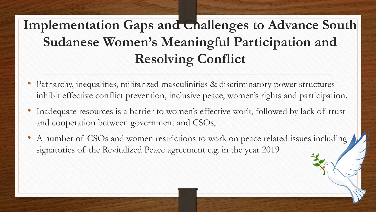# Implementation Gaps and **Challenges** to Advance South **Sudanese Women's Meaningful Participation and Resolving Conflict**

- Patriarchy, inequalities, militarized masculinities & discriminatory power structures inhibit effective conflict prevention, inclusive peace, women's rights and participation.
- Inadequate resources is a barrier to women's effective work, followed by lack of trust and cooperation between government and CSOs,
- A number of CSOs and women restrictions to work on peace related issues including signatories of the Revitalized Peace agreement e.g. in the year 2019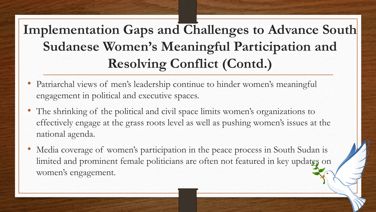# **Implementation Gaps and Challenges to Advance South Sudanese Women's Meaningful Participation and Resolving Conflict (Contd.)**

- Patriarchal views of men's leadership continue to hinder women's meaningful engagement in political and executive spaces.
- The shrinking of the political and civil space limits women's organizations to effectively engage at the grass roots level as well as pushing women's issues at the national agenda.
- Media coverage of women's participation in the peace process in South Sudan is limited and prominent female politicians are often not featured in key updates on women's engagement.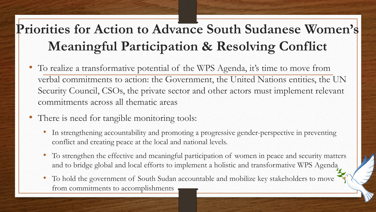#### **Priorities for Action to Advance South Sudanese Women's Meaningful Participation & Resolving Conflict**

- To realize a transformative potential of the WPS Agenda, it's time to move from verbal commitments to action: the Government, the United Nations entities, the UN Security Council, CSOs, the private sector and other actors must implement relevant commitments across all thematic areas
- There is need for tangible monitoring tools:
	- In strengthening accountability and promoting a progressive gender-perspective in preventing conflict and creating peace at the local and national levels.
	- To strengthen the effective and meaningful participation of women in peace and security matters and to bridge global and local efforts to implement a holistic and transformative WPS Agenda
	- To hold the government of South Sudan accountable and mobilize key stakeholders to move from commitments to accomplishments